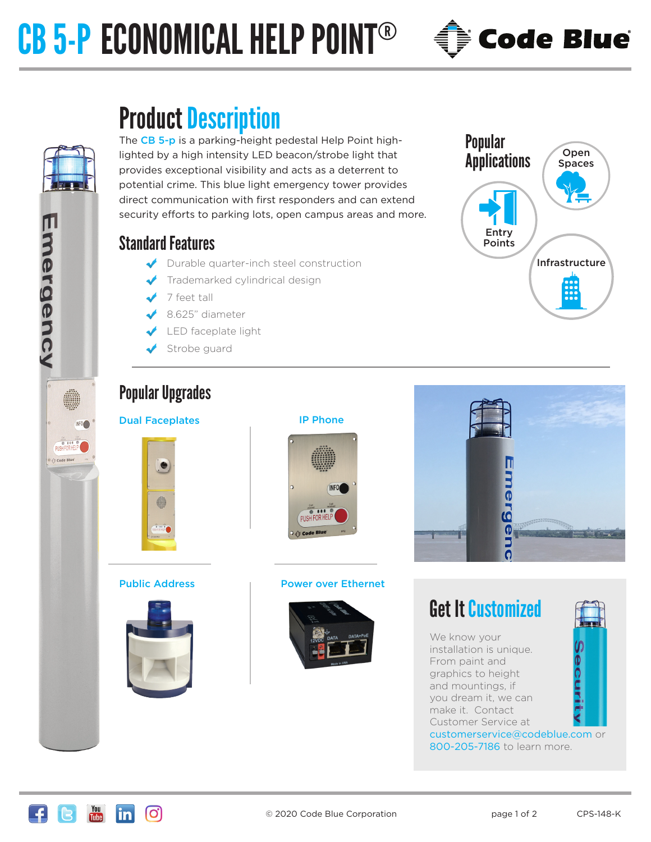# CB 5-P ECONOMICAL HELP POINT®



The CB 5-p is a parking-height pedestal Help Point highlighted by a high intensity LED beacon/strobe light that provides exceptional visibility and acts as a deterrent to potential crime. This blue light emergency tower provides direct communication with first responders and can extend security efforts to parking lots, open campus areas and more.

# Standard Features

Emergency

PISH FOR HELP Code Blue

INFO<sub>C</sub>

- Durable quarter-inch steel construction
- Trademarked cylindrical design
- 7 feet tall
- 8.625" diameter
- LED faceplate light
- Strobe guard

# **Applications** Infrastructure Entry Points Spaces

Open

**Code Blue** 

Popular

# Popular Upgrades

#### Dual Faceplates **IP Phone**







#### Public Address Theory Power over Ethernet





# Get It Customized

We know your (၂)<br>စ installation is unique. From paint and graphics to height and mountings, if you dream it, we can make it. Contact Customer Service at customerservice@codeblue.com or 800-205-7186 to learn more.